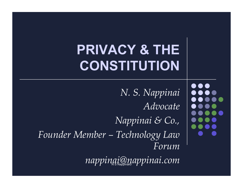## **PRIVACY & THE CONSTITUTION**

*N. S. Nappinai Advocate Nappinai & Co., Founder Member – Technology Law Forum* 

N S Nappinai© *nappinai@nappinai.com*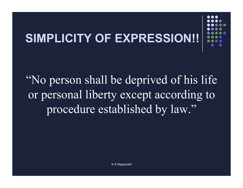# **SIMPLICITY OF EXPRESSION!!**

"No person shall be deprived of his life or personal liberty except according to procedure established by law."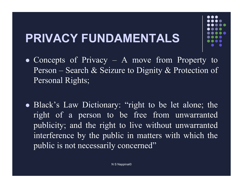### **PRIVACY FUNDAMENTALS**

- Concepts of Privacy A move from Property to Person – Search & Seizure to Dignity & Protection of Personal Rights;
- Black's Law Dictionary: "right to be let alone; the right of a person to be free from unwarranted publicity; and the right to live without unwarranted interference by the public in matters with which the public is not necessarily concerned"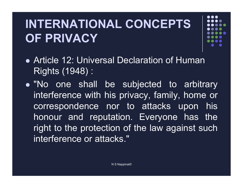#### **INTERNATIONAL CONCEPTS OF PRIVACY**

- 
- Article 12: Universal Declaration of Human Rights (1948) :
- "No one shall be subjected to arbitrary interference with his privacy, family, home or correspondence nor to attacks upon his honour and reputation. Everyone has the right to the protection of the law against such interference or attacks."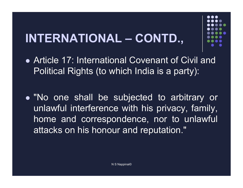### **INTERNATIONAL – CONTD.,**

• Article 17: International Covenant of Civil and Political Rights (to which India is a party):

• "No one shall be subjected to arbitrary or unlawful interference with his privacy, family, home and correspondence, nor to unlawful attacks on his honour and reputation."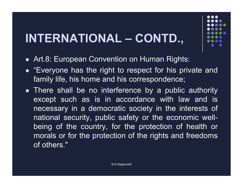#### **INTERNATIONAL – CONTD.,**

- Art.8: European Convention on Human Rights:
- "Everyone has the right to respect for his private and family life, his home and his correspondence;
- There shall be no interference by a public authority except such as is in accordance with law and is necessary in a democratic society in the interests of national security, public safety or the economic wellbeing of the country, for the protection of health or morals or for the protection of the rights and freedoms of others."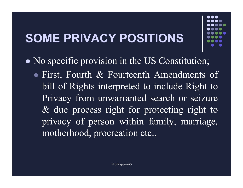### **SOME PRIVACY POSITIONS**

• No specific provision in the US Constitution; • First, Fourth & Fourteenth Amendments of bill of Rights interpreted to include Right to Privacy from unwarranted search or seizure & due process right for protecting right to privacy of person within family, marriage, motherhood, procreation etc.,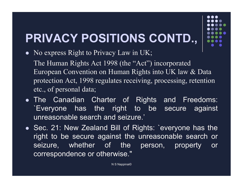## **PRIVACY POSITIONS CONTD.,**

• No express Right to Privacy Law in UK;

The Human Rights Act 1998 (the "Act") incorporated European Convention on Human Rights into UK law & Data protection Act, 1998 regulates receiving, processing, retention etc., of personal data;

- . The Canadian Charter of Rights and Freedoms: `Everyone has the right to be secure against unreasonable search and seizure.'
- . Sec. 21: New Zealand Bill of Rights: 'everyone has the right to be secure against the unreasonable search or seizure, whether of the person, property or correspondence or otherwise."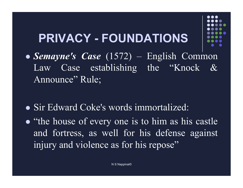#### **PRIVACY - FOUNDATIONS**

- ! *Semayne's Case* (1572) English Common Law Case establishing the "Knock & Announce" Rule;
- Sir Edward Coke's words immortalized:
- "the house of every one is to him as his castle and fortress, as well for his defense against injury and violence as for his repose"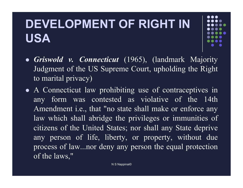#### **DEVELOPMENT OF RIGHT IN USA**

- ! *Griswold v. Connecticut* (1965), (landmark Majority Judgment of the US Supreme Court, upholding the Right to marital privacy)
- A Connecticut law prohibiting use of contraceptives in any form was contested as violative of the 14th Amendment i.e., that "no state shall make or enforce any law which shall abridge the privileges or immunities of citizens of the United States; nor shall any State deprive any person of life, liberty, or property, without due process of law...nor deny any person the equal protection of the laws,"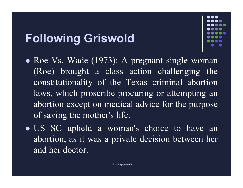#### **Following Griswold**



- Roe Vs. Wade (1973): A pregnant single woman (Roe) brought a class action challenging the constitutionality of the Texas criminal abortion laws, which proscribe procuring or attempting an abortion except on medical advice for the purpose of saving the mother's life.
- US SC upheld a woman's choice to have an abortion, as it was a private decision between her and her doctor.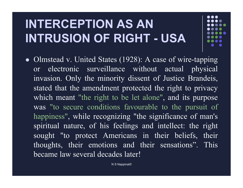#### **INTERCEPTION AS AN INTRUSION OF RIGHT - USA**

• Olmstead v. United States (1928): A case of wire-tapping or electronic surveillance without actual physical invasion. Only the minority dissent of Justice Brandeis, stated that the amendment protected the right to privacy which meant "the right to be let alone", and its purpose was "to secure conditions favourable to the pursuit of happiness", while recognizing "the significance of man's spiritual nature, of his feelings and intellect: the right sought "to protect Americans in their beliefs, their thoughts, their emotions and their sensations". This became law several decades later!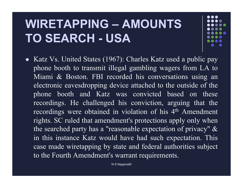#### **WIRETAPPING – AMOUNTS TO SEARCH - USA**

• Katz Vs. United States (1967): Charles Katz used a public pay phone booth to transmit illegal gambling wagers from LA to Miami & Boston. FBI recorded his conversations using an electronic eavesdropping device attached to the outside of the phone booth and Katz was convicted based on these recordings. He challenged his conviction, arguing that the recordings were obtained in violation of his 4<sup>th</sup> Amendment rights. SC ruled that amendment's protections apply only when the searched party has a "reasonable expectation of privacy" & in this instance Katz would have had such expectation. This case made wiretapping by state and federal authorities subject to the Fourth Amendment's warrant requirements.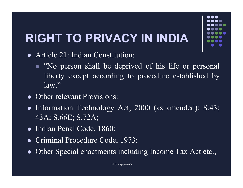## **RIGHT TO PRIVACY IN INDIA**

- Article 21: Indian Constitution:
	- "No person shall be deprived of his life or personal liberty except according to procedure established by law."
- Other relevant Provisions:
- Information Technology Act, 2000 (as amended): S.43; 43A; S.66E; S.72A;
- Indian Penal Code, 1860;
- Criminal Procedure Code, 1973;
- Other Special enactments including Income Tax Act etc.,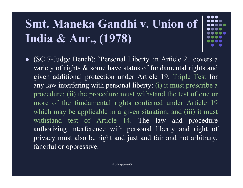### **Smt. Maneka Gandhi v. Union of India & Anr., (1978)**

• (SC 7-Judge Bench): 'Personal Liberty' in Article 21 covers a variety of rights & some have status of fundamental rights and given additional protection under Article 19. Triple Test for any law interfering with personal liberty: (i) it must prescribe a procedure; (ii) the procedure must withstand the test of one or more of the fundamental rights conferred under Article 19 which may be applicable in a given situation; and (iii) it must withstand test of Article 14. The law and procedure authorizing interference with personal liberty and right of privacy must also be right and just and fair and not arbitrary, fanciful or oppressive.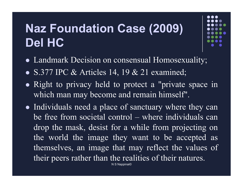#### **Naz Foundation Case (2009) Del HC**



- Landmark Decision on consensual Homosexuality;
- S.377 IPC & Articles 14, 19 & 21 examined;
- Right to privacy held to protect a "private space in which man may become and remain himself".
- Individuals need a place of sanctuary where they can be free from societal control – where individuals can drop the mask, desist for a while from projecting on the world the image they want to be accepted as themselves, an image that may reflect the values of their peers rather than the realities of their natures.

N S Nappinai©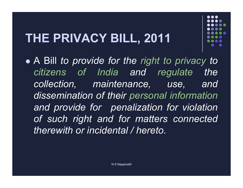### **THE PRIVACY BILL, 2011**

! A Bill *to provide for the right to privacy to citizens of India and regulate the collection, maintenance, use, and dissemination of their personal information and provide for penalization for violation of such right and for matters connected therewith or incidental / hereto.*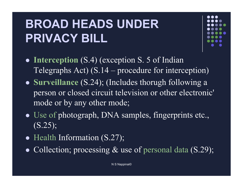#### **BROAD HEADS UNDER PRIVACY BILL**



- Interception (S.4) (exception S. 5 of Indian Telegraphs Act) (S.14 – procedure for interception)
- ! **Surveillance** (S.24); (Includes thorugh following a person or closed circuit television or other electronic' mode or by any other mode;
- Use of photograph, DNA samples, fingerprints etc., (S.25);
- Health Information (S.27);
- Collection; processing  $&$  use of personal data  $(S.29)$ ;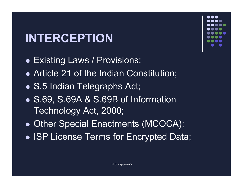#### **INTERCEPTION**

- Existing Laws / Provisions:
- Article 21 of the Indian Constitution;
- S.5 Indian Telegraphs Act;
- S.69, S.69A & S.69B of Information Technology Act, 2000;
- Other Special Enactments (MCOCA);
- **. ISP License Terms for Encrypted Data;**

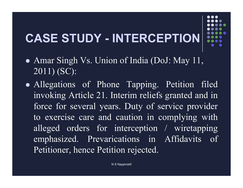### **CASE STUDY - INTERCEPTION**

- Amar Singh Vs. Union of India (DoJ: May 11, 2011) (SC):
- Allegations of Phone Tapping. Petition filed invoking Article 21. Interim reliefs granted and in force for several years. Duty of service provider to exercise care and caution in complying with alleged orders for interception / wiretapping emphasized. Prevarications in Affidavits of Petitioner, hence Petition rejected.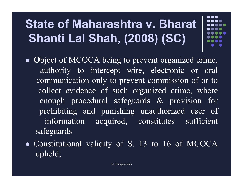### **State of Maharashtra v. Bharat Shanti Lal Shah, (2008) (SC)**

- ! **O**bject of MCOCA being to prevent organized crime, authority to intercept wire, electronic or oral communication only to prevent commission of or to collect evidence of such organized crime, where enough procedural safeguards & provision for prohibiting and punishing unauthorized user of information acquired, constitutes sufficient safeguards
- Constitutional validity of S. 13 to 16 of MCOCA upheld;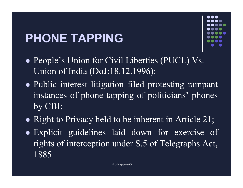### **PHONE TAPPING**



- People's Union for Civil Liberties (PUCL) Vs. Union of India (DoJ:18.12.1996):
- Public interest litigation filed protesting rampant instances of phone tapping of politicians' phones by CBI;
- Right to Privacy held to be inherent in Article 21;
- Explicit guidelines laid down for exercise of rights of interception under S.5 of Telegraphs Act, 1885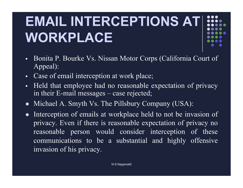# **EMAIL INTERCEPTIONS AT WORKPLACE**

- " Bonita P. Bourke Vs. Nissan Motor Corps (California Court of Appeal):
- Case of email interception at work place;
- " Held that employee had no reasonable expectation of privacy in their E-mail messages – case rejected;
- Michael A. Smyth Vs. The Pillsbury Company (USA):
- Interception of emails at workplace held to not be invasion of privacy. Even if there is reasonable expectation of privacy no reasonable person would consider interception of these communications to be a substantial and highly offensive invasion of his privacy.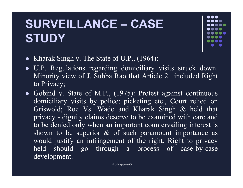#### **SURVEILLANCE – CASE STUDY**



- Kharak Singh v. The State of U.P., (1964):
- U.P. Regulations regarding domiciliary visits struck down. Minority view of J. Subba Rao that Article 21 included Right to Privacy;
- $\bullet$  Gobind v. State of M.P., (1975): Protest against continuous domiciliary visits by police; picketing etc., Court relied on Griswold; Roe Vs. Wade and Kharak Singh & held that privacy - dignity claims deserve to be examined with care and to be denied only when an important countervailing interest is shown to be superior  $\&$  of such paramount importance as would justify an infringement of the right. Right to privacy held should go through a process of case-by-case development.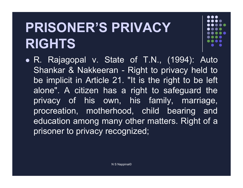## **PRISONER'S PRIVACY RIGHTS**



• R. Rajagopal v. State of T.N., (1994): Auto Shankar & Nakkeeran - Right to privacy held to be implicit in Article 21. "It is the right to be left alone". A citizen has a right to safeguard the privacy of his own, his family, marriage, procreation, motherhood, child bearing and education among many other matters. Right of a prisoner to privacy recognized;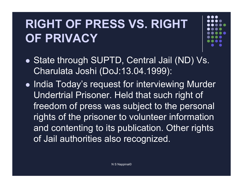### **RIGHT OF PRESS VS. RIGHT OF PRIVACY**

- State through SUPTD, Central Jail (ND) Vs. Charulata Joshi (DoJ:13.04.1999):
- India Today's request for interviewing Murder Undertrial Prisoner. Held that such right of freedom of press was subject to the personal rights of the prisoner to volunteer information and contenting to its publication. Other rights of Jail authorities also recognized.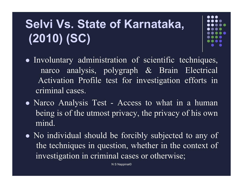### **Selvi Vs. State of Karnataka, (2010) (SC)**

- ! Involuntary administration of scientific techniques, narco analysis, polygraph & Brain Electrical Activation Profile test for investigation efforts in criminal cases.
- Narco Analysis Test Access to what in a human being is of the utmost privacy, the privacy of his own mind.
- No individual should be forcibly subjected to any of the techniques in question, whether in the context of investigation in criminal cases or otherwise;

N S Nappinai©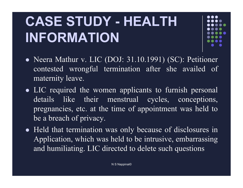## **CASE STUDY - HEALTH INFORMATION**



- Neera Mathur v. LIC (DOJ: 31.10.1991) (SC): Petitioner contested wrongful termination after she availed of maternity leave.
- LIC required the women applicants to furnish personal details like their menstrual cycles, conceptions, pregnancies, etc. at the time of appointment was held to be a breach of privacy.
- Held that termination was only because of disclosures in Application, which was held to be intrusive, embarrassing and humiliating. LIC directed to delete such questions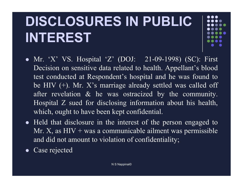## **DISCLOSURES IN PUBLIC INTEREST**

- Mr. 'X' VS. Hospital 'Z' (DOJ: 21-09-1998) (SC): First Decision on sensitive data related to health. Appellant's blood test conducted at Respondent's hospital and he was found to be HIV (+). Mr. X's marriage already settled was called off after revelation & he was ostracized by the community. Hospital Z sued for disclosing information about his health, which, ought to have been kept confidential.
- $\bullet$  Held that disclosure in the interest of the person engaged to Mr. X, as  $HIV + was a$  communicable ailment was permissible and did not amount to violation of confidentiality;
- Case rejected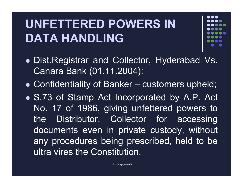#### **UNFETTERED POWERS IN DATA HANDLING**

- ! Dist.Registrar and Collector, Hyderabad Vs. Canara Bank (01.11.2004):
- . Confidentiality of Banker customers upheld;
- S.73 of Stamp Act Incorporated by A.P. Act No. 17 of 1986, giving unfettered powers to the Distributor. Collector for accessing documents even in private custody, without any procedures being prescribed, held to be ultra vires the Constitution.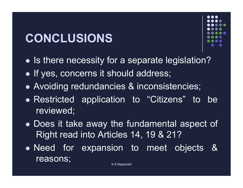#### **CONCLUSIONS**



- Is there necessity for a separate legislation?
- . If yes, concerns it should address;
- Avoiding redundancies & inconsistencies;
- . Restricted application to "Citizens" to be reviewed;
- Does it take away the fundamental aspect of Right read into Articles 14, 19 & 21?
- Need for expansion to meet objects & reasons;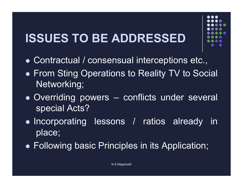#### **ISSUES TO BE ADDRESSED**

- Contractual / consensual interceptions etc.,
- From Sting Operations to Reality TV to Social Networking;
- Overriding powers conflicts under several special Acts?
- Incorporating lessons / ratios already in place;
- Following basic Principles in its Application;